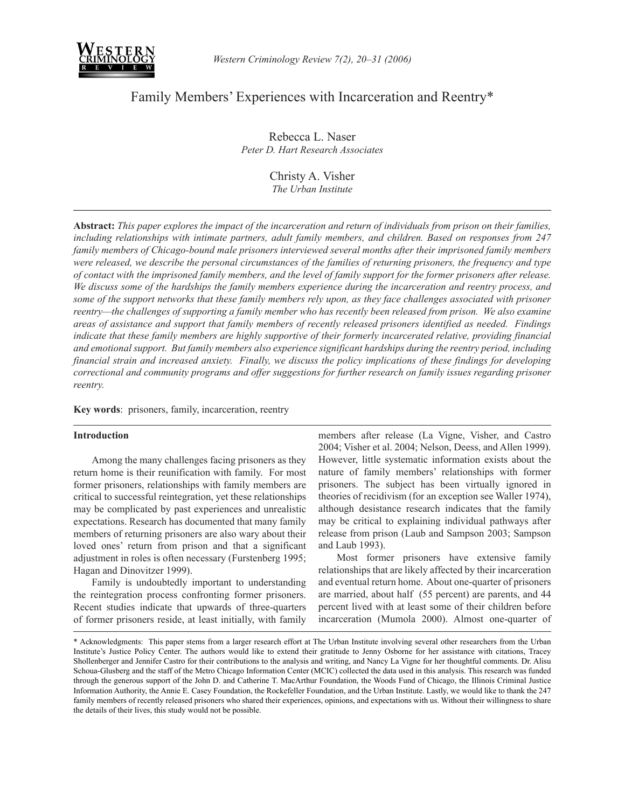

# Family Members' Experiences with Incarceration and Reentry\*

Rebecca L. Naser *Peter D. Hart Research Associates*

> Christy A. Visher *The Urban Institute*

**Abstract:** *This paper explores the impact of the incarceration and return of individuals from prison on their families, including relationships with intimate partners, adult family members, and children. Based on responses from 247 family members of Chicago-bound male prisoners interviewed several months after their imprisoned family members were released, we describe the personal circumstances of the families of returning prisoners, the frequency and type of contact with the imprisoned family members, and the level of family support for the former prisoners after release. We discuss some of the hardships the family members experience during the incarceration and reentry process, and some of the support networks that these family members rely upon, as they face challenges associated with prisoner reentry—the challenges of supporting a family member who has recently been released from prison. We also examine areas of assistance and support that family members of recently released prisoners identified as needed. Findings indicate that these family members are highly supportive of their formerly incarcerated relative, providing financial and emotional support. But family members also experience significant hardships during the reentry period, including financial strain and increased anxiety. Finally, we discuss the policy implications of these findings for developing correctional and community programs and offer suggestions for further research on family issues regarding prisoner reentry.*

**Key words**: prisoners, family, incarceration, reentry

#### **Introduction**

 Among the many challenges facing prisoners as they return home is their reunification with family. For most former prisoners, relationships with family members are critical to successful reintegration, yet these relationships may be complicated by past experiences and unrealistic expectations. Research has documented that many family members of returning prisoners are also wary about their loved ones' return from prison and that a significant adjustment in roles is often necessary (Furstenberg 1995; Hagan and Dinovitzer 1999).

 Family is undoubtedly important to understanding the reintegration process confronting former prisoners. Recent studies indicate that upwards of three-quarters of former prisoners reside, at least initially, with family members after release (La Vigne, Visher, and Castro 2004; Visher et al. 2004; Nelson, Deess, and Allen 1999). However, little systematic information exists about the nature of family members' relationships with former prisoners. The subject has been virtually ignored in theories of recidivism (for an exception see Waller 1974), although desistance research indicates that the family may be critical to explaining individual pathways after release from prison (Laub and Sampson 2003; Sampson and Laub 1993).

 Most former prisoners have extensive family relationships that are likely affected by their incarceration and eventual return home. About one-quarter of prisoners are married, about half (55 percent) are parents, and 44 percent lived with at least some of their children before incarceration (Mumola 2000). Almost one-quarter of

<sup>\*</sup> Acknowledgments: This paper stems from a larger research effort at The Urban Institute involving several other researchers from the Urban Institute's Justice Policy Center. The authors would like to extend their gratitude to Jenny Osborne for her assistance with citations, Tracey Shollenberger and Jennifer Castro for their contributions to the analysis and writing, and Nancy La Vigne for her thoughtful comments. Dr. Alisu Schoua-Glusberg and the staff of the Metro Chicago Information Center (MCIC) collected the data used in this analysis. This research was funded through the generous support of the John D. and Catherine T. MacArthur Foundation, the Woods Fund of Chicago, the Illinois Criminal Justice Information Authority, the Annie E. Casey Foundation, the Rockefeller Foundation, and the Urban Institute. Lastly, we would like to thank the 247 family members of recently released prisoners who shared their experiences, opinions, and expectations with us. Without their willingness to share the details of their lives, this study would not be possible.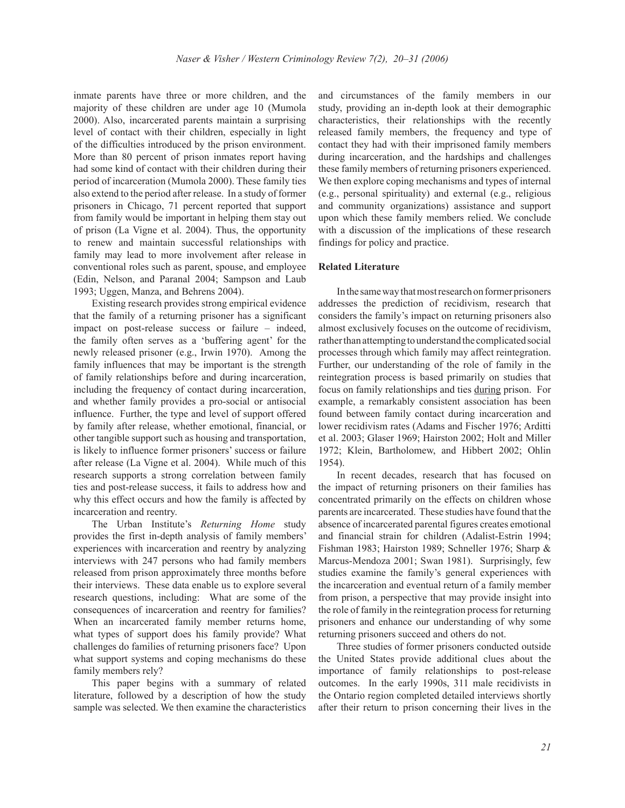inmate parents have three or more children, and the majority of these children are under age 10 (Mumola 2000). Also, incarcerated parents maintain a surprising level of contact with their children, especially in light of the difficulties introduced by the prison environment. More than 80 percent of prison inmates report having had some kind of contact with their children during their period of incarceration (Mumola 2000). These family ties also extend to the period after release. In a study of former prisoners in Chicago, 71 percent reported that support from family would be important in helping them stay out of prison (La Vigne et al. 2004). Thus, the opportunity to renew and maintain successful relationships with family may lead to more involvement after release in conventional roles such as parent, spouse, and employee (Edin, Nelson, and Paranal 2004; Sampson and Laub 1993; Uggen, Manza, and Behrens 2004).

 Existing research provides strong empirical evidence that the family of a returning prisoner has a significant impact on post-release success or failure – indeed, the family often serves as a 'buffering agent' for the newly released prisoner (e.g., Irwin 1970). Among the family influences that may be important is the strength of family relationships before and during incarceration, including the frequency of contact during incarceration, and whether family provides a pro-social or antisocial influence. Further, the type and level of support offered by family after release, whether emotional, financial, or other tangible support such as housing and transportation, is likely to influence former prisoners' success or failure after release (La Vigne et al. 2004). While much of this research supports a strong correlation between family ties and post-release success, it fails to address how and why this effect occurs and how the family is affected by incarceration and reentry.

 The Urban Institute's *Returning Home* study provides the first in-depth analysis of family members' experiences with incarceration and reentry by analyzing interviews with 247 persons who had family members released from prison approximately three months before their interviews. These data enable us to explore several research questions, including: What are some of the consequences of incarceration and reentry for families? When an incarcerated family member returns home, what types of support does his family provide? What challenges do families of returning prisoners face? Upon what support systems and coping mechanisms do these family members rely?

 This paper begins with a summary of related literature, followed by a description of how the study sample was selected. We then examine the characteristics and circumstances of the family members in our study, providing an in-depth look at their demographic characteristics, their relationships with the recently released family members, the frequency and type of contact they had with their imprisoned family members during incarceration, and the hardships and challenges these family members of returning prisoners experienced. We then explore coping mechanisms and types of internal (e.g., personal spirituality) and external (e.g., religious and community organizations) assistance and support upon which these family members relied. We conclude with a discussion of the implications of these research findings for policy and practice.

### **Related Literature**

 In the same way that most research on former prisoners addresses the prediction of recidivism, research that considers the family's impact on returning prisoners also almost exclusively focuses on the outcome of recidivism, rather than attempting to understand the complicated social processes through which family may affect reintegration. Further, our understanding of the role of family in the reintegration process is based primarily on studies that focus on family relationships and ties during prison. For example, a remarkably consistent association has been found between family contact during incarceration and lower recidivism rates (Adams and Fischer 1976; Arditti et al. 2003; Glaser 1969; Hairston 2002; Holt and Miller 1972; Klein, Bartholomew, and Hibbert 2002; Ohlin 1954).

 In recent decades, research that has focused on the impact of returning prisoners on their families has concentrated primarily on the effects on children whose parents are incarcerated. These studies have found that the absence of incarcerated parental figures creates emotional and financial strain for children (Adalist-Estrin 1994; Fishman 1983; Hairston 1989; Schneller 1976; Sharp & Marcus-Mendoza 2001; Swan 1981). Surprisingly, few studies examine the family's general experiences with the incarceration and eventual return of a family member from prison, a perspective that may provide insight into the role of family in the reintegration process for returning prisoners and enhance our understanding of why some returning prisoners succeed and others do not.

 Three studies of former prisoners conducted outside the United States provide additional clues about the importance of family relationships to post-release outcomes. In the early 1990s, 311 male recidivists in the Ontario region completed detailed interviews shortly after their return to prison concerning their lives in the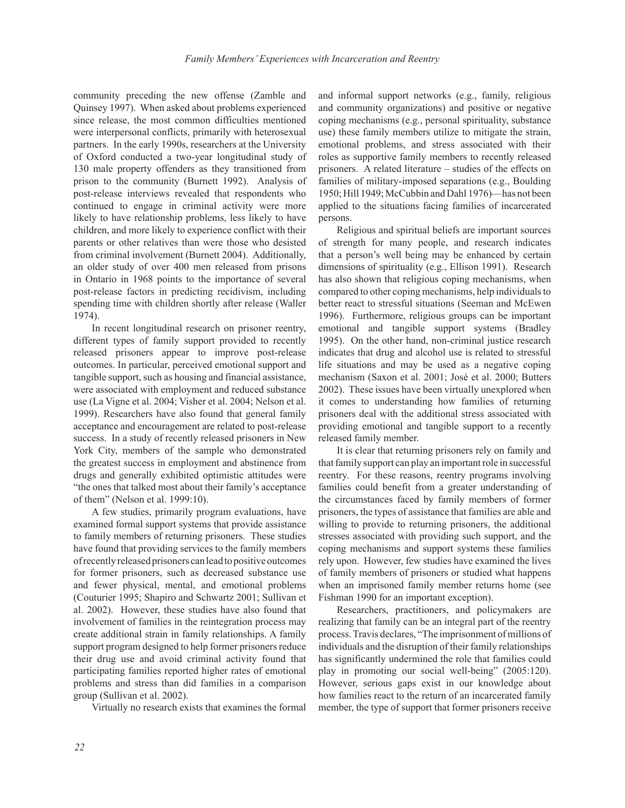community preceding the new offense (Zamble and Quinsey 1997). When asked about problems experienced since release, the most common difficulties mentioned were interpersonal conflicts, primarily with heterosexual partners. In the early 1990s, researchers at the University of Oxford conducted a two-year longitudinal study of 130 male property offenders as they transitioned from prison to the community (Burnett 1992). Analysis of post-release interviews revealed that respondents who continued to engage in criminal activity were more likely to have relationship problems, less likely to have children, and more likely to experience conflict with their parents or other relatives than were those who desisted from criminal involvement (Burnett 2004). Additionally, an older study of over 400 men released from prisons in Ontario in 1968 points to the importance of several post-release factors in predicting recidivism, including spending time with children shortly after release (Waller 1974).

 In recent longitudinal research on prisoner reentry, different types of family support provided to recently released prisoners appear to improve post-release outcomes. In particular, perceived emotional support and tangible support, such as housing and financial assistance, were associated with employment and reduced substance use (La Vigne et al. 2004; Visher et al. 2004; Nelson et al. 1999). Researchers have also found that general family acceptance and encouragement are related to post-release success. In a study of recently released prisoners in New York City, members of the sample who demonstrated the greatest success in employment and abstinence from drugs and generally exhibited optimistic attitudes were "the ones that talked most about their family's acceptance of them" (Nelson et al. 1999:10).

 A few studies, primarily program evaluations, have examined formal support systems that provide assistance to family members of returning prisoners. These studies have found that providing services to the family members of recently released prisoners can lead to positive outcomes for former prisoners, such as decreased substance use and fewer physical, mental, and emotional problems (Couturier 1995; Shapiro and Schwartz 2001; Sullivan et al. 2002). However, these studies have also found that involvement of families in the reintegration process may create additional strain in family relationships. A family support program designed to help former prisoners reduce their drug use and avoid criminal activity found that participating families reported higher rates of emotional problems and stress than did families in a comparison group (Sullivan et al. 2002).

Virtually no research exists that examines the formal

and informal support networks (e.g., family, religious and community organizations) and positive or negative coping mechanisms (e.g., personal spirituality, substance use) these family members utilize to mitigate the strain, emotional problems, and stress associated with their roles as supportive family members to recently released prisoners. A related literature – studies of the effects on families of military-imposed separations (e.g., Boulding 1950; Hill 1949; McCubbin and Dahl 1976)—has not been applied to the situations facing families of incarcerated persons.

 Religious and spiritual beliefs are important sources of strength for many people, and research indicates that a person's well being may be enhanced by certain dimensions of spirituality (e.g., Ellison 1991). Research has also shown that religious coping mechanisms, when compared to other coping mechanisms, help individuals to better react to stressful situations (Seeman and McEwen 1996). Furthermore, religious groups can be important emotional and tangible support systems (Bradley 1995). On the other hand, non-criminal justice research indicates that drug and alcohol use is related to stressful life situations and may be used as a negative coping mechanism (Saxon et al. 2001; José et al. 2000; Butters 2002). These issues have been virtually unexplored when it comes to understanding how families of returning prisoners deal with the additional stress associated with providing emotional and tangible support to a recently released family member.

 It is clear that returning prisoners rely on family and that family support can play an important role in successful reentry. For these reasons, reentry programs involving families could benefit from a greater understanding of the circumstances faced by family members of former prisoners, the types of assistance that families are able and willing to provide to returning prisoners, the additional stresses associated with providing such support, and the coping mechanisms and support systems these families rely upon. However, few studies have examined the lives of family members of prisoners or studied what happens when an imprisoned family member returns home (see Fishman 1990 for an important exception).

 Researchers, practitioners, and policymakers are realizing that family can be an integral part of the reentry process. Travis declares, "The imprisonment of millions of individuals and the disruption of their family relationships has significantly undermined the role that families could play in promoting our social well-being" (2005:120). However, serious gaps exist in our knowledge about how families react to the return of an incarcerated family member, the type of support that former prisoners receive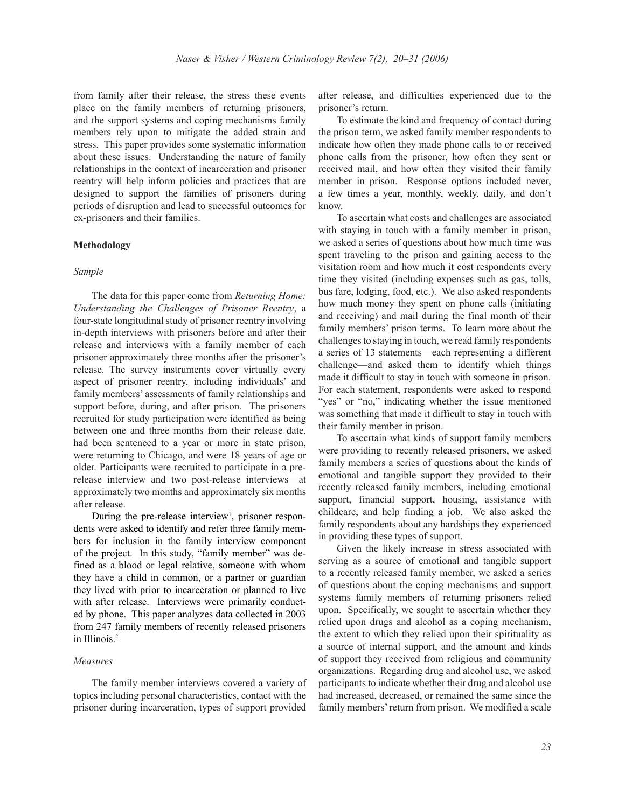from family after their release, the stress these events place on the family members of returning prisoners, and the support systems and coping mechanisms family members rely upon to mitigate the added strain and stress. This paper provides some systematic information about these issues. Understanding the nature of family relationships in the context of incarceration and prisoner reentry will help inform policies and practices that are designed to support the families of prisoners during periods of disruption and lead to successful outcomes for ex-prisoners and their families.

#### **Methodology**

#### *Sample*

 The data for this paper come from *Returning Home: Understanding the Challenges of Prisoner Reentry*, a four-state longitudinal study of prisoner reentry involving in-depth interviews with prisoners before and after their release and interviews with a family member of each prisoner approximately three months after the prisoner's release. The survey instruments cover virtually every aspect of prisoner reentry, including individuals' and family members' assessments of family relationships and support before, during, and after prison. The prisoners recruited for study participation were identified as being between one and three months from their release date, had been sentenced to a year or more in state prison, were returning to Chicago, and were 18 years of age or older. Participants were recruited to participate in a prerelease interview and two post-release interviews—at approximately two months and approximately six months after release.

During the pre-release interview<sup>1</sup>, prisoner respondents were asked to identify and refer three family members for inclusion in the family interview component of the project. In this study, "family member" was defined as a blood or legal relative, someone with whom they have a child in common, or a partner or guardian they lived with prior to incarceration or planned to live with after release. Interviews were primarily conducted by phone. This paper analyzes data collected in 2003 from 247 family members of recently released prisoners in Illinois.2

#### *Measures*

 The family member interviews covered a variety of topics including personal characteristics, contact with the prisoner during incarceration, types of support provided

after release, and difficulties experienced due to the prisoner's return.

 To estimate the kind and frequency of contact during the prison term, we asked family member respondents to indicate how often they made phone calls to or received phone calls from the prisoner, how often they sent or received mail, and how often they visited their family member in prison. Response options included never, a few times a year, monthly, weekly, daily, and don't know.

 To ascertain what costs and challenges are associated with staying in touch with a family member in prison, we asked a series of questions about how much time was spent traveling to the prison and gaining access to the visitation room and how much it cost respondents every time they visited (including expenses such as gas, tolls, bus fare, lodging, food, etc.). We also asked respondents how much money they spent on phone calls (initiating and receiving) and mail during the final month of their family members' prison terms. To learn more about the challenges to staying in touch, we read family respondents a series of 13 statements—each representing a different challenge—and asked them to identify which things made it difficult to stay in touch with someone in prison. For each statement, respondents were asked to respond "yes" or "no," indicating whether the issue mentioned was something that made it difficult to stay in touch with their family member in prison.

 To ascertain what kinds of support family members were providing to recently released prisoners, we asked family members a series of questions about the kinds of emotional and tangible support they provided to their recently released family members, including emotional support, financial support, housing, assistance with childcare, and help finding a job. We also asked the family respondents about any hardships they experienced in providing these types of support.

 Given the likely increase in stress associated with serving as a source of emotional and tangible support to a recently released family member, we asked a series of questions about the coping mechanisms and support systems family members of returning prisoners relied upon. Specifically, we sought to ascertain whether they relied upon drugs and alcohol as a coping mechanism, the extent to which they relied upon their spirituality as a source of internal support, and the amount and kinds of support they received from religious and community organizations. Regarding drug and alcohol use, we asked participants to indicate whether their drug and alcohol use had increased, decreased, or remained the same since the family members' return from prison. We modified a scale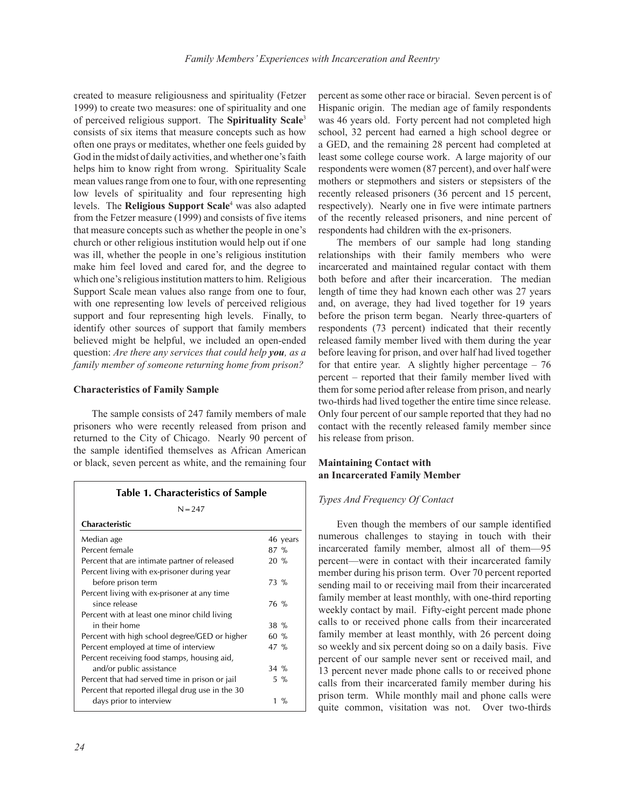created to measure religiousness and spirituality (Fetzer 1999) to create two measures: one of spirituality and one of perceived religious support. The **Spirituality Scale**<sup>3</sup> consists of six items that measure concepts such as how often one prays or meditates, whether one feels guided by God in the midst of daily activities, and whether one's faith helps him to know right from wrong. Spirituality Scale mean values range from one to four, with one representing low levels of spirituality and four representing high levels. The **Religious Support Scale**<sup>4</sup> was also adapted from the Fetzer measure (1999) and consists of five items that measure concepts such as whether the people in one's church or other religious institution would help out if one was ill, whether the people in one's religious institution make him feel loved and cared for, and the degree to which one's religious institution matters to him. Religious Support Scale mean values also range from one to four, with one representing low levels of perceived religious support and four representing high levels. Finally, to identify other sources of support that family members believed might be helpful, we included an open-ended question: *Are there any services that could help you, as a family member of someone returning home from prison?*

#### **Characteristics of Family Sample**

 The sample consists of 247 family members of male prisoners who were recently released from prison and returned to the City of Chicago. Nearly 90 percent of the sample identified themselves as African American or black, seven percent as white, and the remaining four

| <b>Table 1. Characteristics of Sample</b>        |        |          |
|--------------------------------------------------|--------|----------|
| $N = 247$                                        |        |          |
| <b>Characteristic</b>                            |        |          |
| Median age                                       |        | 46 years |
| Percent female                                   | $87\%$ |          |
| Percent that are intimate partner of released    | $20\%$ |          |
| Percent living with ex-prisoner during year      |        |          |
| before prison term                               | $73\%$ |          |
| Percent living with ex-prisoner at any time      |        |          |
| since release                                    | 76 %   |          |
| Percent with at least one minor child living     |        |          |
| in their home                                    | $38\%$ |          |
| Percent with high school degree/GED or higher    | $60\%$ |          |
| Percent employed at time of interview            | 47 %   |          |
| Percent receiving food stamps, housing aid,      |        |          |
| and/or public assistance                         | $34\%$ |          |
| Percent that had served time in prison or jail   |        | $5\%$    |
| Percent that reported illegal drug use in the 30 |        |          |
| days prior to interview                          |        | 1 %      |

percent as some other race or biracial. Seven percent is of Hispanic origin. The median age of family respondents was 46 years old. Forty percent had not completed high school, 32 percent had earned a high school degree or a GED, and the remaining 28 percent had completed at least some college course work. A large majority of our respondents were women (87 percent), and over half were mothers or stepmothers and sisters or stepsisters of the recently released prisoners (36 percent and 15 percent, respectively). Nearly one in five were intimate partners of the recently released prisoners, and nine percent of respondents had children with the ex-prisoners.

 The members of our sample had long standing relationships with their family members who were incarcerated and maintained regular contact with them both before and after their incarceration. The median length of time they had known each other was 27 years and, on average, they had lived together for 19 years before the prison term began. Nearly three-quarters of respondents (73 percent) indicated that their recently released family member lived with them during the year before leaving for prison, and over half had lived together for that entire year. A slightly higher percentage  $-76$ percent – reported that their family member lived with them for some period after release from prison, and nearly two-thirds had lived together the entire time since release. Only four percent of our sample reported that they had no contact with the recently released family member since his release from prison.

### **Maintaining Contact with an Incarcerated Family Member**

#### *Types And Frequency Of Contact*

 Even though the members of our sample identified numerous challenges to staying in touch with their incarcerated family member, almost all of them—95 percent—were in contact with their incarcerated family member during his prison term. Over 70 percent reported sending mail to or receiving mail from their incarcerated family member at least monthly, with one-third reporting weekly contact by mail. Fifty-eight percent made phone calls to or received phone calls from their incarcerated family member at least monthly, with 26 percent doing so weekly and six percent doing so on a daily basis. Five percent of our sample never sent or received mail, and 13 percent never made phone calls to or received phone calls from their incarcerated family member during his prison term. While monthly mail and phone calls were quite common, visitation was not. Over two-thirds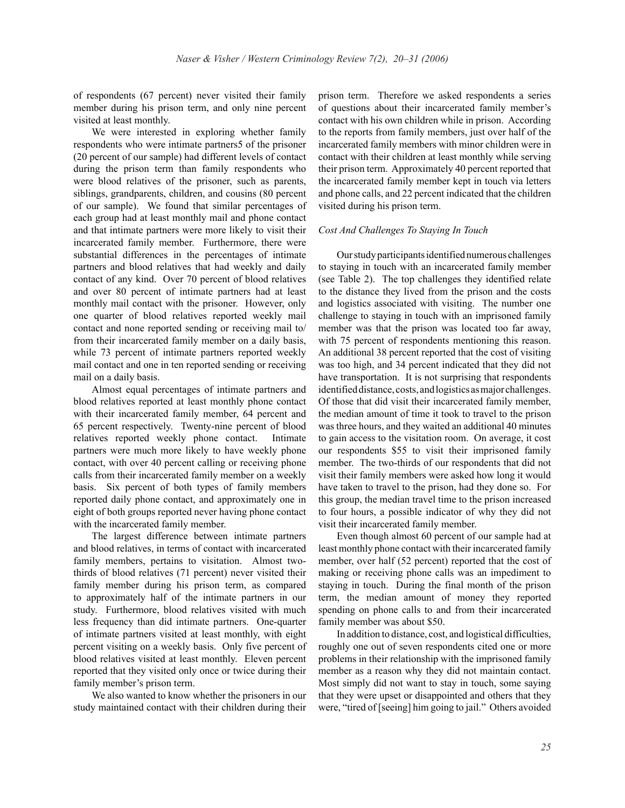of respondents (67 percent) never visited their family member during his prison term, and only nine percent visited at least monthly.

 We were interested in exploring whether family respondents who were intimate partners5 of the prisoner (20 percent of our sample) had different levels of contact during the prison term than family respondents who were blood relatives of the prisoner, such as parents, siblings, grandparents, children, and cousins (80 percent of our sample). We found that similar percentages of each group had at least monthly mail and phone contact and that intimate partners were more likely to visit their incarcerated family member. Furthermore, there were substantial differences in the percentages of intimate partners and blood relatives that had weekly and daily contact of any kind. Over 70 percent of blood relatives and over 80 percent of intimate partners had at least monthly mail contact with the prisoner. However, only one quarter of blood relatives reported weekly mail contact and none reported sending or receiving mail to/ from their incarcerated family member on a daily basis, while 73 percent of intimate partners reported weekly mail contact and one in ten reported sending or receiving mail on a daily basis.

 Almost equal percentages of intimate partners and blood relatives reported at least monthly phone contact with their incarcerated family member, 64 percent and 65 percent respectively. Twenty-nine percent of blood relatives reported weekly phone contact. Intimate partners were much more likely to have weekly phone contact, with over 40 percent calling or receiving phone calls from their incarcerated family member on a weekly basis. Six percent of both types of family members reported daily phone contact, and approximately one in eight of both groups reported never having phone contact with the incarcerated family member.

 The largest difference between intimate partners and blood relatives, in terms of contact with incarcerated family members, pertains to visitation. Almost twothirds of blood relatives (71 percent) never visited their family member during his prison term, as compared to approximately half of the intimate partners in our study. Furthermore, blood relatives visited with much less frequency than did intimate partners. One-quarter of intimate partners visited at least monthly, with eight percent visiting on a weekly basis. Only five percent of blood relatives visited at least monthly. Eleven percent reported that they visited only once or twice during their family member's prison term.

 We also wanted to know whether the prisoners in our study maintained contact with their children during their

prison term. Therefore we asked respondents a series of questions about their incarcerated family member's contact with his own children while in prison. According to the reports from family members, just over half of the incarcerated family members with minor children were in contact with their children at least monthly while serving their prison term. Approximately 40 percent reported that the incarcerated family member kept in touch via letters and phone calls, and 22 percent indicated that the children visited during his prison term.

#### *Cost And Challenges To Staying In Touch*

 Our study participants identified numerous challenges to staying in touch with an incarcerated family member (see Table 2). The top challenges they identified relate to the distance they lived from the prison and the costs and logistics associated with visiting. The number one challenge to staying in touch with an imprisoned family member was that the prison was located too far away, with 75 percent of respondents mentioning this reason. An additional 38 percent reported that the cost of visiting was too high, and 34 percent indicated that they did not have transportation. It is not surprising that respondents identified distance, costs, and logistics as major challenges. Of those that did visit their incarcerated family member, the median amount of time it took to travel to the prison was three hours, and they waited an additional 40 minutes to gain access to the visitation room. On average, it cost our respondents \$55 to visit their imprisoned family member. The two-thirds of our respondents that did not visit their family members were asked how long it would have taken to travel to the prison, had they done so. For this group, the median travel time to the prison increased to four hours, a possible indicator of why they did not visit their incarcerated family member.

 Even though almost 60 percent of our sample had at least monthly phone contact with their incarcerated family member, over half (52 percent) reported that the cost of making or receiving phone calls was an impediment to staying in touch. During the final month of the prison term, the median amount of money they reported spending on phone calls to and from their incarcerated family member was about \$50.

 In addition to distance, cost, and logistical difficulties, roughly one out of seven respondents cited one or more problems in their relationship with the imprisoned family member as a reason why they did not maintain contact. Most simply did not want to stay in touch, some saying that they were upset or disappointed and others that they were, "tired of [seeing] him going to jail." Others avoided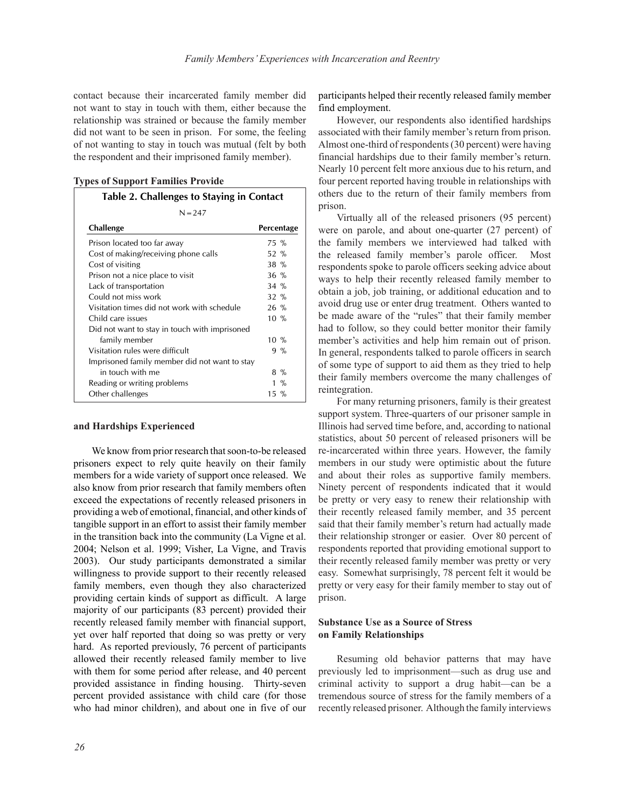contact because their incarcerated family member did not want to stay in touch with them, either because the relationship was strained or because the family member did not want to be seen in prison. For some, the feeling of not wanting to stay in touch was mutual (felt by both the respondent and their imprisoned family member).

**Types of Support Families Provide**

# **Table 2. Challenges to Staying in Contact**

| Challenge                                     | Percentage       |     |
|-----------------------------------------------|------------------|-----|
| Prison located too far away                   | 75 %             |     |
| Cost of making/receiving phone calls          | 52 %             |     |
| Cost of visiting                              | $38\%$           |     |
| Prison not a nice place to visit              | $36\%$           |     |
| Lack of transportation                        | $34 \%$          |     |
| Could not miss work                           | $32 \%$          |     |
| Visitation times did not work with schedule   | $26\%$           |     |
| Child care issues                             | $10\%$           |     |
| Did not want to stay in touch with imprisoned |                  |     |
| family member                                 | $10\%$           |     |
| Visitation rules were difficult               | $9\%$            |     |
| Imprisoned family member did not want to stay |                  |     |
| in touch with me                              | 8 %              |     |
| Reading or writing problems                   |                  | 1 % |
| Other challenges                              | $15 \frac{9}{6}$ |     |

#### **and Hardships Experienced**

We know from prior research that soon-to-be released prisoners expect to rely quite heavily on their family members for a wide variety of support once released. We also know from prior research that family members often exceed the expectations of recently released prisoners in providing a web of emotional, financial, and other kinds of tangible support in an effort to assist their family member in the transition back into the community (La Vigne et al. 2004; Nelson et al. 1999; Visher, La Vigne, and Travis 2003). Our study participants demonstrated a similar willingness to provide support to their recently released family members, even though they also characterized providing certain kinds of support as difficult. A large majority of our participants (83 percent) provided their recently released family member with financial support, yet over half reported that doing so was pretty or very hard. As reported previously, 76 percent of participants allowed their recently released family member to live with them for some period after release, and 40 percent provided assistance in finding housing. Thirty-seven percent provided assistance with child care (for those who had minor children), and about one in five of our

participants helped their recently released family member find employment.

 However, our respondents also identified hardships associated with their family member's return from prison. Almost one-third of respondents (30 percent) were having financial hardships due to their family member's return. Nearly 10 percent felt more anxious due to his return, and four percent reported having trouble in relationships with others due to the return of their family members from prison.

 Virtually all of the released prisoners (95 percent) were on parole, and about one-quarter (27 percent) of the family members we interviewed had talked with the released family member's parole officer. Most respondents spoke to parole officers seeking advice about ways to help their recently released family member to obtain a job, job training, or additional education and to avoid drug use or enter drug treatment. Others wanted to be made aware of the "rules" that their family member had to follow, so they could better monitor their family member's activities and help him remain out of prison. In general, respondents talked to parole officers in search of some type of support to aid them as they tried to help their family members overcome the many challenges of reintegration.

 For many returning prisoners, family is their greatest support system. Three-quarters of our prisoner sample in Illinois had served time before, and, according to national statistics, about 50 percent of released prisoners will be re-incarcerated within three years. However, the family members in our study were optimistic about the future and about their roles as supportive family members. Ninety percent of respondents indicated that it would be pretty or very easy to renew their relationship with their recently released family member, and 35 percent said that their family member's return had actually made their relationship stronger or easier. Over 80 percent of respondents reported that providing emotional support to their recently released family member was pretty or very easy. Somewhat surprisingly, 78 percent felt it would be pretty or very easy for their family member to stay out of prison.

# **Substance Use as a Source of Stress on Family Relationships**

 Resuming old behavior patterns that may have previously led to imprisonment—such as drug use and criminal activity to support a drug habit—can be a tremendous source of stress for the family members of a recently released prisoner. Although the family interviews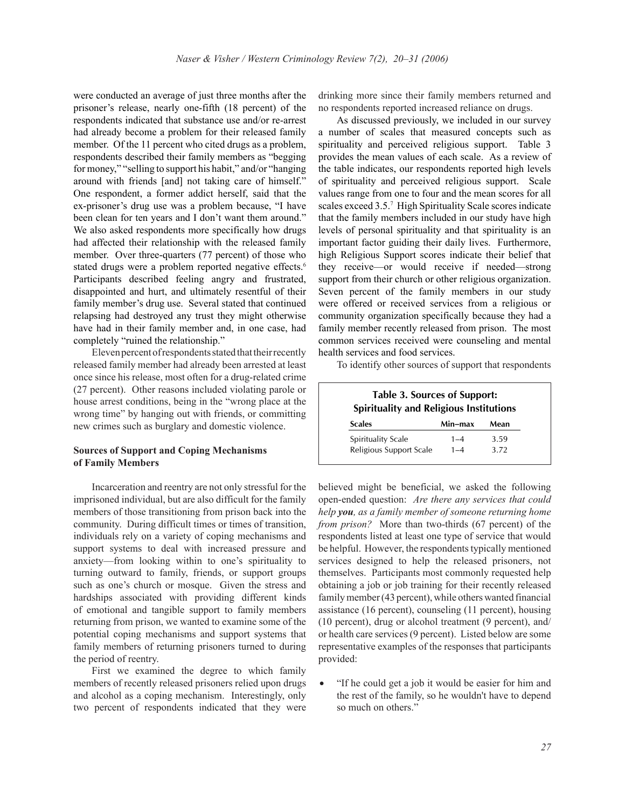were conducted an average of just three months after the prisoner's release, nearly one-fifth (18 percent) of the respondents indicated that substance use and/or re-arrest had already become a problem for their released family member. Of the 11 percent who cited drugs as a problem, respondents described their family members as "begging for money," "selling to support his habit," and/or "hanging around with friends [and] not taking care of himself." One respondent, a former addict herself, said that the ex-prisoner's drug use was a problem because, "I have been clean for ten years and I don't want them around." We also asked respondents more specifically how drugs had affected their relationship with the released family member. Over three-quarters (77 percent) of those who stated drugs were a problem reported negative effects.<sup>6</sup> Participants described feeling angry and frustrated, disappointed and hurt, and ultimately resentful of their family member's drug use. Several stated that continued relapsing had destroyed any trust they might otherwise have had in their family member and, in one case, had completely "ruined the relationship."

 Eleven percent of respondents stated that their recently released family member had already been arrested at least once since his release, most often for a drug-related crime (27 percent). Other reasons included violating parole or house arrest conditions, being in the "wrong place at the wrong time" by hanging out with friends, or committing new crimes such as burglary and domestic violence.

## **Sources of Support and Coping Mechanisms of Family Members**

 Incarceration and reentry are not only stressful for the imprisoned individual, but are also difficult for the family members of those transitioning from prison back into the community. During difficult times or times of transition, individuals rely on a variety of coping mechanisms and support systems to deal with increased pressure and anxiety—from looking within to one's spirituality to turning outward to family, friends, or support groups such as one's church or mosque. Given the stress and hardships associated with providing different kinds of emotional and tangible support to family members returning from prison, we wanted to examine some of the potential coping mechanisms and support systems that family members of returning prisoners turned to during the period of reentry.

 First we examined the degree to which family members of recently released prisoners relied upon drugs and alcohol as a coping mechanism. Interestingly, only two percent of respondents indicated that they were drinking more since their family members returned and no respondents reported increased reliance on drugs.

As discussed previously, we included in our survey a number of scales that measured concepts such as spirituality and perceived religious support. Table 3 provides the mean values of each scale. As a review of the table indicates, our respondents reported high levels of spirituality and perceived religious support. Scale values range from one to four and the mean scores for all scales exceed 3.5.7 High Spirituality Scale scores indicate that the family members included in our study have high levels of personal spirituality and that spirituality is an important factor guiding their daily lives. Furthermore, high Religious Support scores indicate their belief that they receive—or would receive if needed—strong support from their church or other religious organization. Seven percent of the family members in our study were offered or received services from a religious or community organization specifically because they had a family member recently released from prison. The most common services received were counseling and mental health services and food services.

To identify other sources of support that respondents

| <b>Table 3. Sources of Support:</b><br>Spirituality and Religious Institutions |         |      |  |
|--------------------------------------------------------------------------------|---------|------|--|
| <b>Scales</b>                                                                  | Min-max | Mean |  |
| Spirituality Scale                                                             | $1 - 4$ | 3.59 |  |
| Religious Support Scale                                                        | $1 - 4$ | 3.72 |  |

believed might be beneficial, we asked the following open-ended question: *Are there any services that could help you, as a family member of someone returning home from prison?* More than two-thirds (67 percent) of the respondents listed at least one type of service that would be helpful. However, the respondents typically mentioned services designed to help the released prisoners, not themselves. Participants most commonly requested help obtaining a job or job training for their recently released family member (43 percent), while others wanted financial assistance (16 percent), counseling (11 percent), housing (10 percent), drug or alcohol treatment (9 percent), and/ or health care services (9 percent). Listed below are some representative examples of the responses that participants provided:

• "If he could get a job it would be easier for him and the rest of the family, so he wouldn't have to depend so much on others."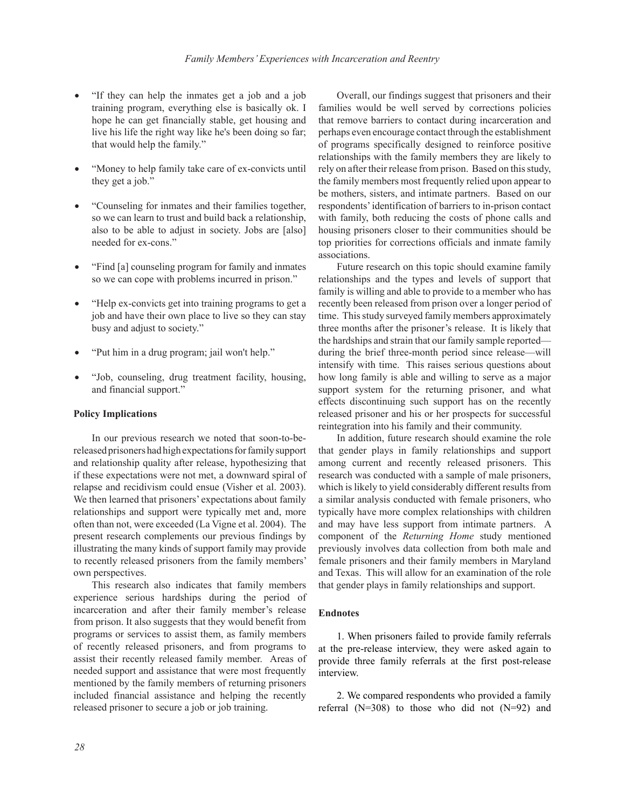- "If they can help the inmates get a job and a job training program, everything else is basically ok. I hope he can get financially stable, get housing and live his life the right way like he's been doing so far; that would help the family."
- "Money to help family take care of ex-convicts until they get a job."
- "Counseling for inmates and their families together, so we can learn to trust and build back a relationship, also to be able to adjust in society. Jobs are [also] needed for ex-cons."
- "Find [a] counseling program for family and inmates so we can cope with problems incurred in prison."
- "Help ex-convicts get into training programs to get a job and have their own place to live so they can stay busy and adjust to society."
- "Put him in a drug program; jail won't help."
- "Job, counseling, drug treatment facility, housing, and financial support."

#### **Policy Implications**

 In our previous research we noted that soon-to-bereleased prisoners had high expectations for family support and relationship quality after release, hypothesizing that if these expectations were not met, a downward spiral of relapse and recidivism could ensue (Visher et al. 2003). We then learned that prisoners' expectations about family relationships and support were typically met and, more often than not, were exceeded (La Vigne et al. 2004). The present research complements our previous findings by illustrating the many kinds of support family may provide to recently released prisoners from the family members' own perspectives.

 This research also indicates that family members experience serious hardships during the period of incarceration and after their family member's release from prison. It also suggests that they would benefit from programs or services to assist them, as family members of recently released prisoners, and from programs to assist their recently released family member. Areas of needed support and assistance that were most frequently mentioned by the family members of returning prisoners included financial assistance and helping the recently released prisoner to secure a job or job training.

 Overall, our findings suggest that prisoners and their families would be well served by corrections policies that remove barriers to contact during incarceration and perhaps even encourage contact through the establishment of programs specifically designed to reinforce positive relationships with the family members they are likely to rely on after their release from prison. Based on this study, the family members most frequently relied upon appear to be mothers, sisters, and intimate partners. Based on our respondents' identification of barriers to in-prison contact with family, both reducing the costs of phone calls and housing prisoners closer to their communities should be top priorities for corrections officials and inmate family associations.

 Future research on this topic should examine family relationships and the types and levels of support that family is willing and able to provide to a member who has recently been released from prison over a longer period of time. This study surveyed family members approximately three months after the prisoner's release. It is likely that the hardships and strain that our family sample reported during the brief three-month period since release—will intensify with time. This raises serious questions about how long family is able and willing to serve as a major support system for the returning prisoner, and what effects discontinuing such support has on the recently released prisoner and his or her prospects for successful reintegration into his family and their community.

 In addition, future research should examine the role that gender plays in family relationships and support among current and recently released prisoners. This research was conducted with a sample of male prisoners, which is likely to yield considerably different results from a similar analysis conducted with female prisoners, who typically have more complex relationships with children and may have less support from intimate partners. A component of the *Returning Home* study mentioned previously involves data collection from both male and female prisoners and their family members in Maryland and Texas. This will allow for an examination of the role that gender plays in family relationships and support.

#### **Endnotes**

 1. When prisoners failed to provide family referrals at the pre-release interview, they were asked again to provide three family referrals at the first post-release interview.

 2. We compared respondents who provided a family referral  $(N=308)$  to those who did not  $(N=92)$  and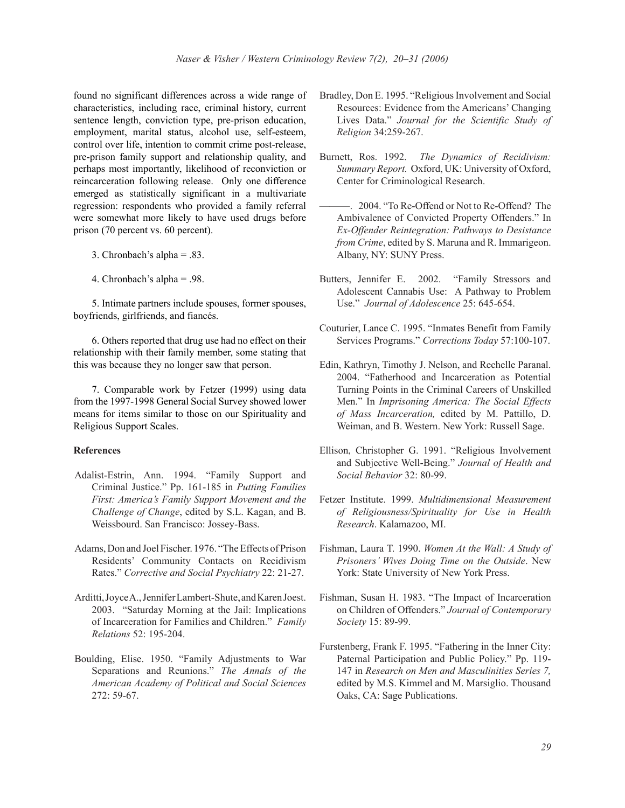found no significant differences across a wide range of characteristics, including race, criminal history, current sentence length, conviction type, pre-prison education, employment, marital status, alcohol use, self-esteem, control over life, intention to commit crime post-release, pre-prison family support and relationship quality, and perhaps most importantly, likelihood of reconviction or reincarceration following release. Only one difference emerged as statistically significant in a multivariate regression: respondents who provided a family referral were somewhat more likely to have used drugs before prison (70 percent vs. 60 percent).

- 3. Chronbach's alpha = .83.
- 4. Chronbach's alpha = .98.

 5. Intimate partners include spouses, former spouses, boyfriends, girlfriends, and fiancés.

 6. Others reported that drug use had no effect on their relationship with their family member, some stating that this was because they no longer saw that person.

 7. Comparable work by Fetzer (1999) using data from the 1997-1998 General Social Survey showed lower means for items similar to those on our Spirituality and Religious Support Scales.

#### **References**

- Adalist-Estrin, Ann. 1994. "Family Support and Criminal Justice." Pp. 161-185 in *Putting Families First: America's Family Support Movement and the Challenge of Change*, edited by S.L. Kagan, and B. Weissbourd. San Francisco: Jossey-Bass.
- Adams, Don and Joel Fischer. 1976. "The Effects of Prison Residents' Community Contacts on Recidivism Rates." *Corrective and Social Psychiatry* 22: 21-27.
- Arditti, Joyce A., Jennifer Lambert-Shute, and Karen Joest. 2003. "Saturday Morning at the Jail: Implications of Incarceration for Families and Children." *Family Relations* 52: 195-204.
- Boulding, Elise. 1950. "Family Adjustments to War Separations and Reunions." *The Annals of the American Academy of Political and Social Sciences* 272: 59-67.
- Bradley, Don E. 1995. "Religious Involvement and Social Resources: Evidence from the Americans' Changing Lives Data." *Journal for the Scientific Study of Religion* 34:259-267.
- Burnett, Ros. 1992. *The Dynamics of Recidivism: Summary Report.* Oxford, UK: University of Oxford, Center for Criminological Research.
- ———. 2004. "To Re-Offend or Not to Re-Offend? The Ambivalence of Convicted Property Offenders." In *Ex-Offender Reintegration: Pathways to Desistance from Crime*, edited by S. Maruna and R. Immarigeon. Albany, NY: SUNY Press.
- Butters, Jennifer E. 2002. "Family Stressors and Adolescent Cannabis Use: A Pathway to Problem Use." *Journal of Adolescence* 25: 645-654.
- Couturier, Lance C. 1995. "Inmates Benefit from Family Services Programs." *Corrections Today* 57:100-107.
- Edin, Kathryn, Timothy J. Nelson, and Rechelle Paranal. 2004. "Fatherhood and Incarceration as Potential Turning Points in the Criminal Careers of Unskilled Men." In *Imprisoning America: The Social Effects of Mass Incarceration,* edited by M. Pattillo, D. Weiman, and B. Western. New York: Russell Sage.
- Ellison, Christopher G. 1991. "Religious Involvement and Subjective Well-Being." *Journal of Health and Social Behavior* 32: 80-99.
- Fetzer Institute. 1999. *Multidimensional Measurement of Religiousness/Spirituality for Use in Health Research*. Kalamazoo, MI.
- Fishman, Laura T. 1990. *Women At the Wall: A Study of Prisoners' Wives Doing Time on the Outside*. New York: State University of New York Press.
- Fishman, Susan H. 1983. "The Impact of Incarceration on Children of Offenders." *Journal of Contemporary Society* 15: 89-99.
- Furstenberg, Frank F. 1995. "Fathering in the Inner City: Paternal Participation and Public Policy." Pp. 119- 147 in *Research on Men and Masculinities Series 7,* edited by M.S. Kimmel and M. Marsiglio. Thousand Oaks, CA: Sage Publications.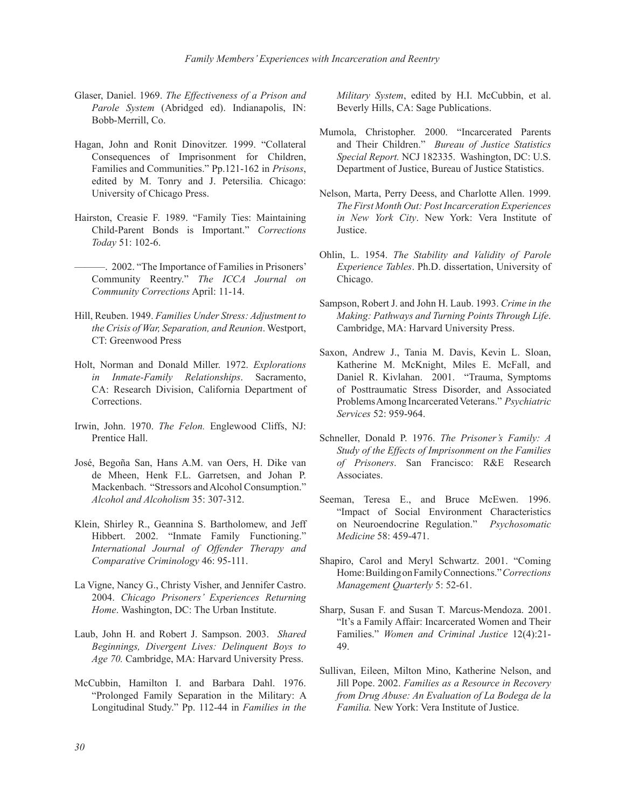- Glaser, Daniel. 1969. *The Effectiveness of a Prison and Parole System* (Abridged ed). Indianapolis, IN: Bobb-Merrill, Co.
- Hagan, John and Ronit Dinovitzer. 1999. "Collateral Consequences of Imprisonment for Children, Families and Communities." Pp.121-162 in *Prisons*, edited by M. Tonry and J. Petersilia. Chicago: University of Chicago Press.
- Hairston, Creasie F. 1989. "Family Ties: Maintaining Child-Parent Bonds is Important." *Corrections Today* 51: 102-6.
- ———. 2002. "The Importance of Families in Prisoners' Community Reentry." *The ICCA Journal on Community Corrections* April: 11-14.
- Hill, Reuben. 1949. *Families Under Stress: Adjustment to the Crisis of War, Separation, and Reunion*. Westport, CT: Greenwood Press
- Holt, Norman and Donald Miller. 1972. *Explorations in Inmate-Family Relationships*. Sacramento, CA: Research Division, California Department of Corrections.
- Irwin, John. 1970. *The Felon.* Englewood Cliffs, NJ: Prentice Hall.
- José, Begoña San, Hans A.M. van Oers, H. Dike van de Mheen, Henk F.L. Garretsen, and Johan P. Mackenbach. "Stressors and Alcohol Consumption." *Alcohol and Alcoholism* 35: 307-312.
- Klein, Shirley R., Geannina S. Bartholomew, and Jeff Hibbert. 2002. "Inmate Family Functioning." *International Journal of Offender Therapy and Comparative Criminology* 46: 95-111.
- La Vigne, Nancy G., Christy Visher, and Jennifer Castro. 2004. *Chicago Prisoners' Experiences Returning Home*. Washington, DC: The Urban Institute.
- Laub, John H. and Robert J. Sampson. 2003. *Shared Beginnings, Divergent Lives: Delinquent Boys to Age 70.* Cambridge, MA: Harvard University Press.
- McCubbin, Hamilton I. and Barbara Dahl. 1976. "Prolonged Family Separation in the Military: A Longitudinal Study." Pp. 112-44 in *Families in the*

*Military System*, edited by H.I. McCubbin, et al. Beverly Hills, CA: Sage Publications.

- Mumola, Christopher. 2000. "Incarcerated Parents and Their Children." *Bureau of Justice Statistics Special Report.* NCJ 182335. Washington, DC: U.S. Department of Justice, Bureau of Justice Statistics.
- Nelson, Marta, Perry Deess, and Charlotte Allen. 1999. *The First Month Out: Post Incarceration Experiences in New York City*. New York: Vera Institute of Justice.
- Ohlin, L. 1954. *The Stability and Validity of Parole Experience Tables*. Ph.D. dissertation, University of Chicago.
- Sampson, Robert J. and John H. Laub. 1993. *Crime in the Making: Pathways and Turning Points Through Life*. Cambridge, MA: Harvard University Press.
- Saxon, Andrew J., Tania M. Davis, Kevin L. Sloan, Katherine M. McKnight, Miles E. McFall, and Daniel R. Kivlahan. 2001. "Trauma, Symptoms of Posttraumatic Stress Disorder, and Associated Problems Among Incarcerated Veterans." *Psychiatric Services* 52: 959-964.
- Schneller, Donald P. 1976. *The Prisoner's Family: A Study of the Effects of Imprisonment on the Families of Prisoners*. San Francisco: R&E Research **Associates**
- Seeman, Teresa E., and Bruce McEwen. 1996. "Impact of Social Environment Characteristics on Neuroendocrine Regulation." *Psychosomatic Medicine* 58: 459-471.
- Shapiro, Carol and Meryl Schwartz. 2001. "Coming Home: Building on Family Connections." *Corrections Management Quarterly* 5: 52-61.
- Sharp, Susan F. and Susan T. Marcus-Mendoza. 2001. "It's a Family Affair: Incarcerated Women and Their Families." *Women and Criminal Justice* 12(4):21- 49.
- Sullivan, Eileen, Milton Mino, Katherine Nelson, and Jill Pope. 2002. *Families as a Resource in Recovery from Drug Abuse: An Evaluation of La Bodega de la Familia.* New York: Vera Institute of Justice.